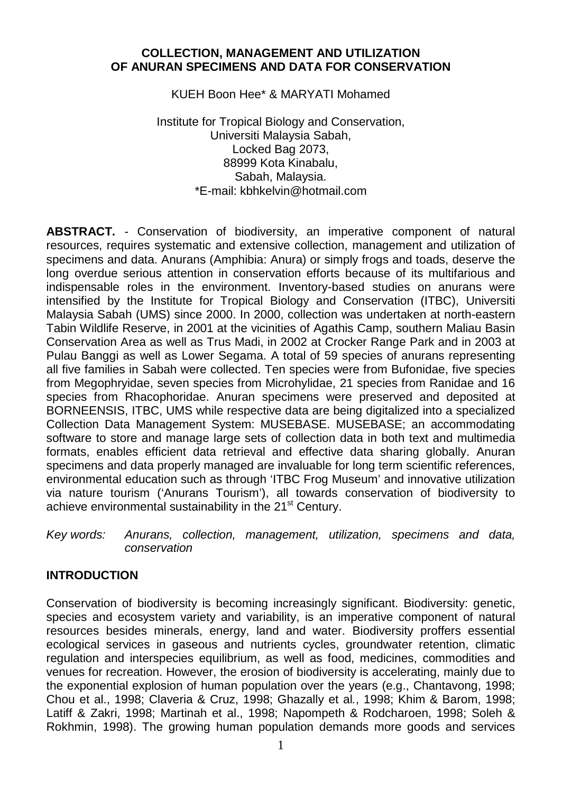### **COLLECTION, MANAGEMENT AND UTILIZATION OF ANURAN SPECIMENS AND DATA FOR CONSERVATION**

KUEH Boon Hee\* & MARYATI Mohamed

Institute for Tropical Biology and Conservation, Universiti Malaysia Sabah, Locked Bag 2073, 88999 Kota Kinabalu, Sabah, Malaysia. \*E-mail: kbhkelvin@hotmail.com

**ABSTRACT.** - Conservation of biodiversity, an imperative component of natural resources, requires systematic and extensive collection, management and utilization of specimens and data. Anurans (Amphibia: Anura) or simply frogs and toads, deserve the long overdue serious attention in conservation efforts because of its multifarious and indispensable roles in the environment. Inventory-based studies on anurans were intensified by the Institute for Tropical Biology and Conservation (ITBC), Universiti Malaysia Sabah (UMS) since 2000. In 2000, collection was undertaken at north-eastern Tabin Wildlife Reserve, in 2001 at the vicinities of Agathis Camp, southern Maliau Basin Conservation Area as well as Trus Madi, in 2002 at Crocker Range Park and in 2003 at Pulau Banggi as well as Lower Segama. A total of 59 species of anurans representing all five families in Sabah were collected. Ten species were from Bufonidae, five species from Megophryidae, seven species from Microhylidae, 21 species from Ranidae and 16 species from Rhacophoridae. Anuran specimens were preserved and deposited at BORNEENSIS, ITBC, UMS while respective data are being digitalized into a specialized Collection Data Management System: MUSEBASE. MUSEBASE; an accommodating software to store and manage large sets of collection data in both text and multimedia formats, enables efficient data retrieval and effective data sharing globally. Anuran specimens and data properly managed are invaluable for long term scientific references, environmental education such as through 'ITBC Frog Museum' and innovative utilization via nature tourism ('Anurans Tourism'), all towards conservation of biodiversity to achieve environmental sustainability in the 21<sup>st</sup> Century.

*Key words: Anurans, collection, management, utilization, specimens and data, conservation*

### **INTRODUCTION**

Conservation of biodiversity is becoming increasingly significant. Biodiversity: genetic, species and ecosystem variety and variability, is an imperative component of natural resources besides minerals, energy, land and water. Biodiversity proffers essential ecological services in gaseous and nutrients cycles, groundwater retention, climatic regulation and interspecies equilibrium, as well as food, medicines, commodities and venues for recreation. However, the erosion of biodiversity is accelerating, mainly due to the exponential explosion of human population over the years (e.g., Chantavong, 1998; Chou et al., 1998; Claveria & Cruz, 1998; Ghazally et al*.*, 1998; Khim & Barom, 1998; Latiff & Zakri, 1998; Martinah et al., 1998; Napompeth & Rodcharoen, 1998; Soleh & Rokhmin, 1998). The growing human population demands more goods and services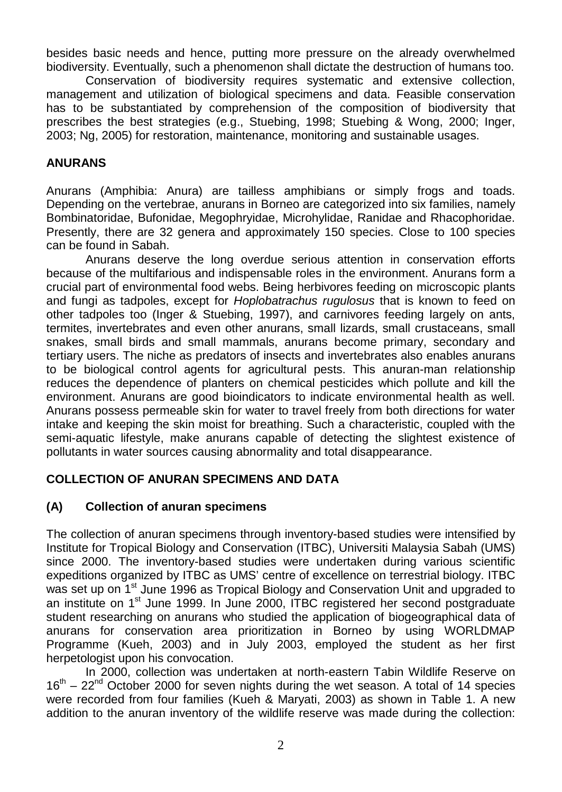besides basic needs and hence, putting more pressure on the already overwhelmed biodiversity. Eventually, such a phenomenon shall dictate the destruction of humans too.

Conservation of biodiversity requires systematic and extensive collection, management and utilization of biological specimens and data. Feasible conservation has to be substantiated by comprehension of the composition of biodiversity that prescribes the best strategies (e.g., Stuebing, 1998; Stuebing & Wong, 2000; Inger, 2003; Ng, 2005) for restoration, maintenance, monitoring and sustainable usages.

## **ANURANS**

Anurans (Amphibia: Anura) are tailless amphibians or simply frogs and toads. Depending on the vertebrae, anurans in Borneo are categorized into six families, namely Bombinatoridae, Bufonidae, Megophryidae, Microhylidae, Ranidae and Rhacophoridae. Presently, there are 32 genera and approximately 150 species. Close to 100 species can be found in Sabah.

Anurans deserve the long overdue serious attention in conservation efforts because of the multifarious and indispensable roles in the environment. Anurans form a crucial part of environmental food webs. Being herbivores feeding on microscopic plants and fungi as tadpoles, except for *Hoplobatrachus rugulosus* that is known to feed on other tadpoles too (Inger & Stuebing, 1997), and carnivores feeding largely on ants, termites, invertebrates and even other anurans, small lizards, small crustaceans, small snakes, small birds and small mammals, anurans become primary, secondary and tertiary users. The niche as predators of insects and invertebrates also enables anurans to be biological control agents for agricultural pests. This anuran-man relationship reduces the dependence of planters on chemical pesticides which pollute and kill the environment. Anurans are good bioindicators to indicate environmental health as well. Anurans possess permeable skin for water to travel freely from both directions for water intake and keeping the skin moist for breathing. Such a characteristic, coupled with the semi-aquatic lifestyle, make anurans capable of detecting the slightest existence of pollutants in water sources causing abnormality and total disappearance.

## **COLLECTION OF ANURAN SPECIMENS AND DATA**

## **(A) Collection of anuran specimens**

The collection of anuran specimens through inventory-based studies were intensified by Institute for Tropical Biology and Conservation (ITBC), Universiti Malaysia Sabah (UMS) since 2000. The inventory-based studies were undertaken during various scientific expeditions organized by ITBC as UMS' centre of excellence on terrestrial biology. ITBC was set up on 1<sup>st</sup> June 1996 as Tropical Biology and Conservation Unit and upgraded to an institute on 1<sup>st</sup> June 1999. In June 2000, ITBC registered her second postgraduate student researching on anurans who studied the application of biogeographical data of anurans for conservation area prioritization in Borneo by using WORLDMAP Programme (Kueh, 2003) and in July 2003, employed the student as her first herpetologist upon his convocation.

In 2000, collection was undertaken at north-eastern Tabin Wildlife Reserve on  $16<sup>th</sup> - 22<sup>nd</sup>$  October 2000 for seven nights during the wet season. A total of 14 species were recorded from four families (Kueh & Maryati, 2003) as shown in Table 1. A new addition to the anuran inventory of the wildlife reserve was made during the collection: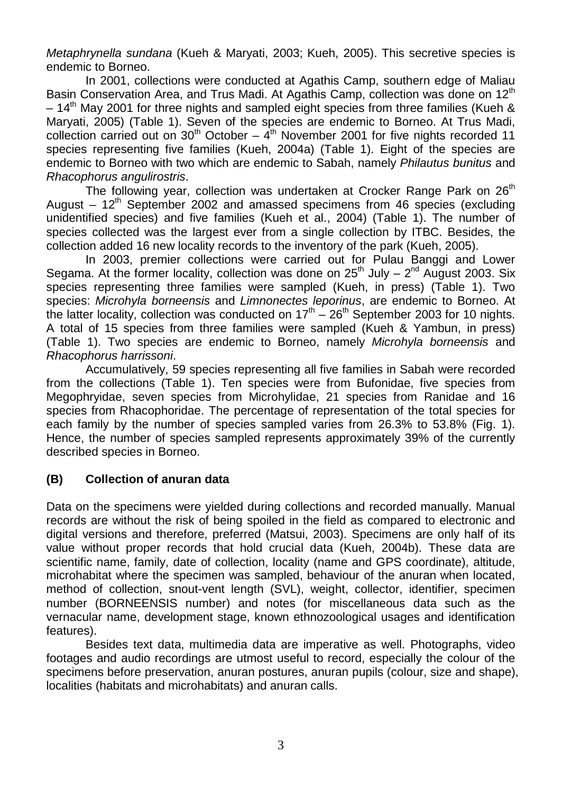*Metaphrynella sundana* (Kueh & Maryati, 2003; Kueh, 2005). This secretive species is endemic to Borneo.

In 2001, collections were conducted at Agathis Camp, southern edge of Maliau Basin Conservation Area, and Trus Madi. At Agathis Camp, collection was done on  $12<sup>th</sup>$  $-14<sup>th</sup>$  May 2001 for three nights and sampled eight species from three families (Kueh & Maryati, 2005) (Table 1). Seven of the species are endemic to Borneo. At Trus Madi, collection carried out on  $30<sup>th</sup>$  October –  $4<sup>th</sup>$  November 2001 for five nights recorded 11 species representing five families (Kueh, 2004a) (Table 1). Eight of the species are endemic to Borneo with two which are endemic to Sabah, namely *Philautus bunitus* and

Rhacophorus angulirostris.<br>The following year, collection was undertaken at Crocker Range Park on 26<sup>th</sup> August – 12<sup>th</sup> September 2002 and amassed specimens from 46 species (excluding unidentified species) and five families (Kueh et al., 2004) (Table 1). The number of species collected was the largest ever from a single collection by ITBC. Besides, the collection added 16 new locality records to the inventory of the park (Kueh, 2005).

In 2003, premier collections were carried out for Pulau Banggi and Lower Segama. At the former locality, collection was done on  $25<sup>th</sup>$  July  $- 2<sup>nd</sup>$  August 2003. Six species representing three families were sampled (Kueh, in press) (Table 1). Two species: *Microhyla borneensis* and *Limnonectes leporinus*, are endemic to Borneo. At the latter locality, collection was conducted on  $17<sup>th</sup> - 26<sup>th</sup>$  September 2003 for 10 nights. A total of 15 species from three families were sampled (Kueh & Yambun, in press) (Table 1). Two species are endemic to Borneo, namely *Microhyla borneensis* and *Rhacophorus harrissoni*.

Accumulatively, 59 species representing all five families in Sabah were recorded from the collections (Table 1). Ten species were from Bufonidae, five species from Megophryidae, seven species from Microhylidae, 21 species from Ranidae and 16 species from Rhacophoridae. The percentage of representation of the total species for each family by the number of species sampled varies from 26.3% to 53.8% (Fig. 1). Hence, the number of species sampled represents approximately 39% of the currently described species in Borneo.

### **(B) Collection of anuran data**

Data on the specimens were yielded during collections and recorded manually. Manual records are without the risk of being spoiled in the field as compared to electronic and digital versions and therefore, preferred (Matsui, 2003). Specimens are only half of its value without proper records that hold crucial data (Kueh, 2004b). These data are scientific name, family, date of collection, locality (name and GPS coordinate), altitude, microhabitat where the specimen was sampled, behaviour of the anuran when located, method of collection, snout-vent length (SVL), weight, collector, identifier, specimen number (BORNEENSIS number) and notes (for miscellaneous data such as the vernacular name, development stage, known ethnozoological usages and identification features).

Besides text data, multimedia data are imperative as well. Photographs, video footages and audio recordings are utmost useful to record, especially the colour of the specimens before preservation, anuran postures, anuran pupils (colour, size and shape), localities (habitats and microhabitats) and anuran calls.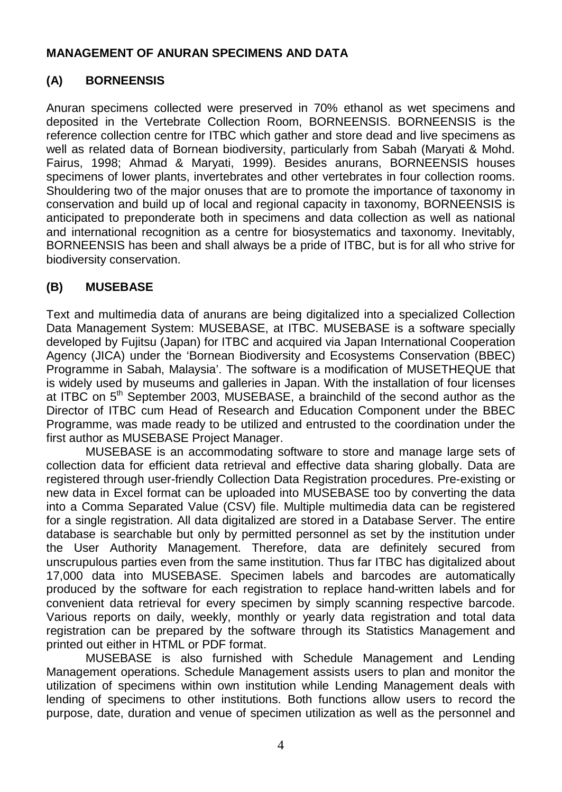### **MANAGEMENT OF ANURAN SPECIMENS AND DATA**

# **(A) BORNEENSIS**

Anuran specimens collected were preserved in 70% ethanol as wet specimens and deposited in the Vertebrate Collection Room, BORNEENSIS. BORNEENSIS is the reference collection centre for ITBC which gather and store dead and live specimens as well as related data of Bornean biodiversity, particularly from Sabah (Maryati & Mohd. Fairus, 1998; Ahmad & Maryati, 1999). Besides anurans, BORNEENSIS houses specimens of lower plants, invertebrates and other vertebrates in four collection rooms. Shouldering two of the major onuses that are to promote the importance of taxonomy in conservation and build up of local and regional capacity in taxonomy, BORNEENSIS is anticipated to preponderate both in specimens and data collection as well as national and international recognition as a centre for biosystematics and taxonomy. Inevitably, BORNEENSIS has been and shall always be a pride of ITBC, but is for all who strive for biodiversity conservation.

## **(B) MUSEBASE**

Text and multimedia data of anurans are being digitalized into a specialized Collection Data Management System: MUSEBASE, at ITBC. MUSEBASE is a software specially developed by Fujitsu (Japan) for ITBC and acquired via Japan International Cooperation Agency (JICA) under the 'Bornean Biodiversity and Ecosystems Conservation (BBEC) Programme in Sabah, Malaysia'. The software is a modification of MUSETHEQUE that is widely used by museums and galleries in Japan. With the installation of four licenses at ITBC on 5<sup>th</sup> September 2003, MUSEBASE, a brainchild of the second author as the Director of ITBC cum Head of Research and Education Component under the BBEC Programme, was made ready to be utilized and entrusted to the coordination under the first author as MUSEBASE Project Manager.

MUSEBASE is an accommodating software to store and manage large sets of collection data for efficient data retrieval and effective data sharing globally. Data are registered through user-friendly Collection Data Registration procedures. Pre-existing or new data in Excel format can be uploaded into MUSEBASE too by converting the data into a Comma Separated Value (CSV) file. Multiple multimedia data can be registered for a single registration. All data digitalized are stored in a Database Server. The entire database is searchable but only by permitted personnel as set by the institution under the User Authority Management. Therefore, data are definitely secured from unscrupulous parties even from the same institution. Thus far ITBC has digitalized about 17,000 data into MUSEBASE. Specimen labels and barcodes are automatically produced by the software for each registration to replace hand-written labels and for convenient data retrieval for every specimen by simply scanning respective barcode. Various reports on daily, weekly, monthly or yearly data registration and total data registration can be prepared by the software through its Statistics Management and printed out either in HTML or PDF format.

MUSEBASE is also furnished with Schedule Management and Lending Management operations. Schedule Management assists users to plan and monitor the utilization of specimens within own institution while Lending Management deals with lending of specimens to other institutions. Both functions allow users to record the purpose, date, duration and venue of specimen utilization as well as the personnel and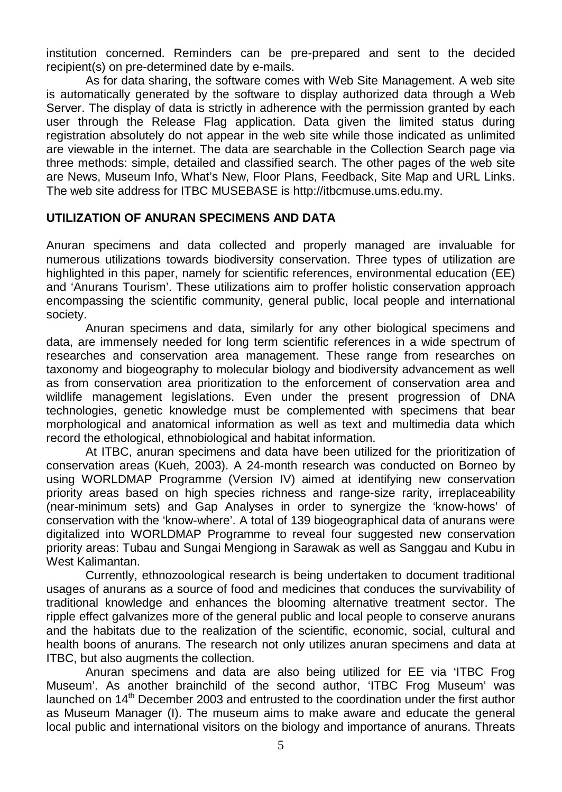institution concerned. Reminders can be pre-prepared and sent to the decided recipient(s) on pre-determined date by e-mails.

As for data sharing, the software comes with Web Site Management. A web site is automatically generated by the software to display authorized data through a Web Server. The display of data is strictly in adherence with the permission granted by each user through the Release Flag application. Data given the limited status during registration absolutely do not appear in the web site while those indicated as unlimited are viewable in the internet. The data are searchable in the Collection Search page via three methods: simple, detailed and classified search. The other pages of the web site are News, Museum Info, What's New, Floor Plans, Feedback, Site Map and URL Links. The web site address for ITBC MUSEBASE is http://itbcmuse.ums.edu.my.

### **UTILIZATION OF ANURAN SPECIMENS AND DATA**

Anuran specimens and data collected and properly managed are invaluable for numerous utilizations towards biodiversity conservation. Three types of utilization are highlighted in this paper, namely for scientific references, environmental education (EE) and 'Anurans Tourism'. These utilizations aim to proffer holistic conservation approach encompassing the scientific community, general public, local people and international society.

Anuran specimens and data, similarly for any other biological specimens and data, are immensely needed for long term scientific references in a wide spectrum of researches and conservation area management. These range from researches on taxonomy and biogeography to molecular biology and biodiversity advancement as well as from conservation area prioritization to the enforcement of conservation area and wildlife management legislations. Even under the present progression of DNA technologies, genetic knowledge must be complemented with specimens that bear morphological and anatomical information as well as text and multimedia data which record the ethological, ethnobiological and habitat information.

At ITBC, anuran specimens and data have been utilized for the prioritization of conservation areas (Kueh, 2003). A 24-month research was conducted on Borneo by using WORLDMAP Programme (Version IV) aimed at identifying new conservation priority areas based on high species richness and range-size rarity, irreplaceability (near-minimum sets) and Gap Analyses in order to synergize the 'know-hows' of conservation with the 'know-where'. A total of 139 biogeographical data of anurans were digitalized into WORLDMAP Programme to reveal four suggested new conservation priority areas: Tubau and Sungai Mengiong in Sarawak as well as Sanggau and Kubu in West Kalimantan.

Currently, ethnozoological research is being undertaken to document traditional usages of anurans as a source of food and medicines that conduces the survivability of traditional knowledge and enhances the blooming alternative treatment sector. The ripple effect galvanizes more of the general public and local people to conserve anurans and the habitats due to the realization of the scientific, economic, social, cultural and health boons of anurans. The research not only utilizes anuran specimens and data at ITBC, but also augments the collection.

Anuran specimens and data are also being utilized for EE via 'ITBC Frog Museum'. As another brainchild of the second author, 'ITBC Frog Museum' was launched on 14<sup>th</sup> December 2003 and entrusted to the coordination under the first author as Museum Manager (I). The museum aims to make aware and educate the general local public and international visitors on the biology and importance of anurans. Threats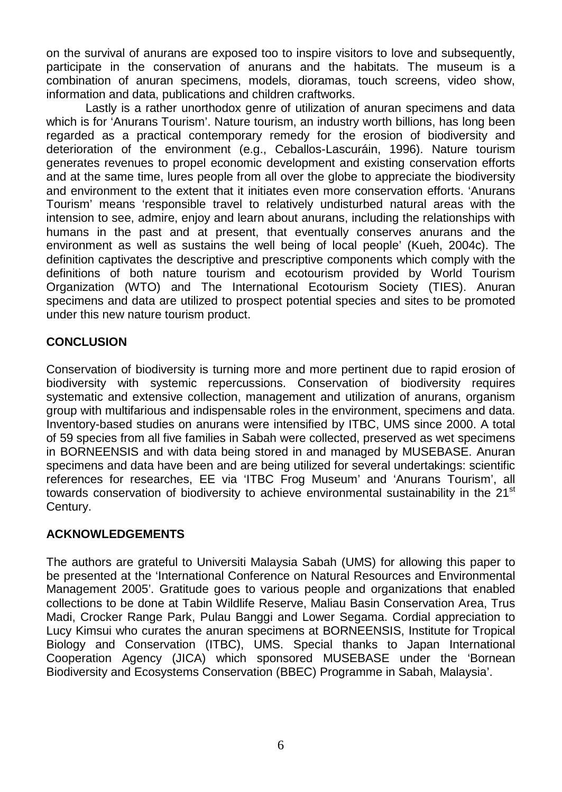on the survival of anurans are exposed too to inspire visitors to love and subsequently, participate in the conservation of anurans and the habitats. The museum is a combination of anuran specimens, models, dioramas, touch screens, video show, information and data, publications and children craftworks.

Lastly is a rather unorthodox genre of utilization of anuran specimens and data which is for 'Anurans Tourism'. Nature tourism, an industry worth billions, has long been regarded as a practical contemporary remedy for the erosion of biodiversity and deterioration of the environment (e.g., Ceballos-Lascuráin, 1996). Nature tourism generates revenues to propel economic development and existing conservation efforts and at the same time, lures people from all over the globe to appreciate the biodiversity and environment to the extent that it initiates even more conservation efforts. 'Anurans Tourism' means 'responsible travel to relatively undisturbed natural areas with the intension to see, admire, enjoy and learn about anurans, including the relationships with humans in the past and at present, that eventually conserves anurans and the environment as well as sustains the well being of local people' (Kueh, 2004c). The definition captivates the descriptive and prescriptive components which comply with the definitions of both nature tourism and ecotourism provided by World Tourism Organization (WTO) and The International Ecotourism Society (TIES). Anuran specimens and data are utilized to prospect potential species and sites to be promoted under this new nature tourism product.

## **CONCLUSION**

Conservation of biodiversity is turning more and more pertinent due to rapid erosion of biodiversity with systemic repercussions. Conservation of biodiversity requires systematic and extensive collection, management and utilization of anurans, organism group with multifarious and indispensable roles in the environment, specimens and data. Inventory-based studies on anurans were intensified by ITBC, UMS since 2000. A total of 59 species from all five families in Sabah were collected, preserved as wet specimens in BORNEENSIS and with data being stored in and managed by MUSEBASE. Anuran specimens and data have been and are being utilized for several undertakings: scientific references for researches, EE via 'ITBC Frog Museum' and 'Anurans Tourism', all towards conservation of biodiversity to achieve environmental sustainability in the  $21<sup>st</sup>$ Century.

## **ACKNOWLEDGEMENTS**

The authors are grateful to Universiti Malaysia Sabah (UMS) for allowing this paper to be presented at the 'International Conference on Natural Resources and Environmental Management 2005'. Gratitude goes to various people and organizations that enabled collections to be done at Tabin Wildlife Reserve, Maliau Basin Conservation Area, Trus Madi, Crocker Range Park, Pulau Banggi and Lower Segama. Cordial appreciation to Lucy Kimsui who curates the anuran specimens at BORNEENSIS, Institute for Tropical Biology and Conservation (ITBC), UMS. Special thanks to Japan International Cooperation Agency (JICA) which sponsored MUSEBASE under the 'Bornean Biodiversity and Ecosystems Conservation (BBEC) Programme in Sabah, Malaysia'.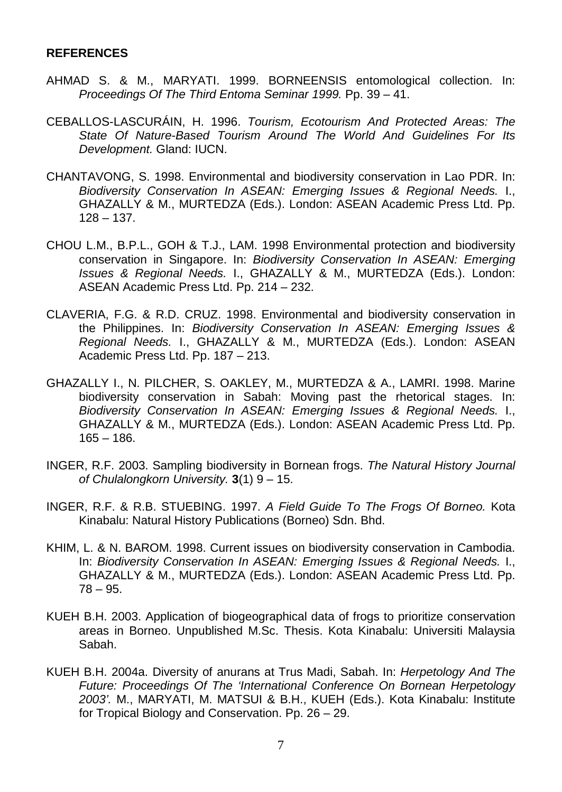#### **REFERENCES**

- AHMAD S. & M., MARYATI. 1999. BORNEENSIS entomological collection. In: *Proceedings Of The Third Entoma Seminar 1999.* Pp. 39 – 41.
- CEBALLOS-LASCURÁIN, H. 1996. *Tourism, Ecotourism And Protected Areas: The State Of Nature-Based Tourism Around The World And Guidelines For Its Development.* Gland: IUCN.
- CHANTAVONG, S. 1998. Environmental and biodiversity conservation in Lao PDR. In: *Biodiversity Conservation In ASEAN: Emerging Issues & Regional Needs.* I., GHAZALLY & M., MURTEDZA (Eds.). London: ASEAN Academic Press Ltd. Pp.  $128 - 137.$
- CHOU L.M., B.P.L., GOH & T.J., LAM. 1998 Environmental protection and biodiversity conservation in Singapore. In: *Biodiversity Conservation In ASEAN: Emerging Issues & Regional Needs.* I., GHAZALLY & M., MURTEDZA (Eds.). London: ASEAN Academic Press Ltd. Pp. 214 – 232.
- CLAVERIA, F.G. & R.D. CRUZ. 1998. Environmental and biodiversity conservation in the Philippines. In: *Biodiversity Conservation In ASEAN: Emerging Issues & Regional Needs.* I., GHAZALLY & M., MURTEDZA (Eds.). London: ASEAN Academic Press Ltd. Pp. 187 – 213.
- GHAZALLY I., N. PILCHER, S. OAKLEY, M., MURTEDZA & A., LAMRI. 1998. Marine biodiversity conservation in Sabah: Moving past the rhetorical stages. In: *Biodiversity Conservation In ASEAN: Emerging Issues & Regional Needs.* I., GHAZALLY & M., MURTEDZA (Eds.). London: ASEAN Academic Press Ltd. Pp.  $165 - 186.$
- INGER, R.F. 2003. Sampling biodiversity in Bornean frogs. *The Natural History Journal of Chulalongkorn University.* **3**(1) 9 – 15.
- INGER, R.F. & R.B. STUEBING. 1997. *A Field Guide To The Frogs Of Borneo.* Kota Kinabalu: Natural History Publications (Borneo) Sdn. Bhd.
- KHIM, L. & N. BAROM. 1998. Current issues on biodiversity conservation in Cambodia. In: *Biodiversity Conservation In ASEAN: Emerging Issues & Regional Needs.* I., GHAZALLY & M., MURTEDZA (Eds.). London: ASEAN Academic Press Ltd. Pp. 78 – 95.
- KUEH B.H. 2003. Application of biogeographical data of frogs to prioritize conservation areas in Borneo. Unpublished M.Sc. Thesis. Kota Kinabalu: Universiti Malaysia Sabah.
- KUEH B.H. 2004a. Diversity of anurans at Trus Madi, Sabah. In: *Herpetology And The Future: Proceedings Of The 'International Conference On Bornean Herpetology 2003'.* M., MARYATI, M. MATSUI & B.H., KUEH (Eds.). Kota Kinabalu: Institute for Tropical Biology and Conservation. Pp. 26 – 29.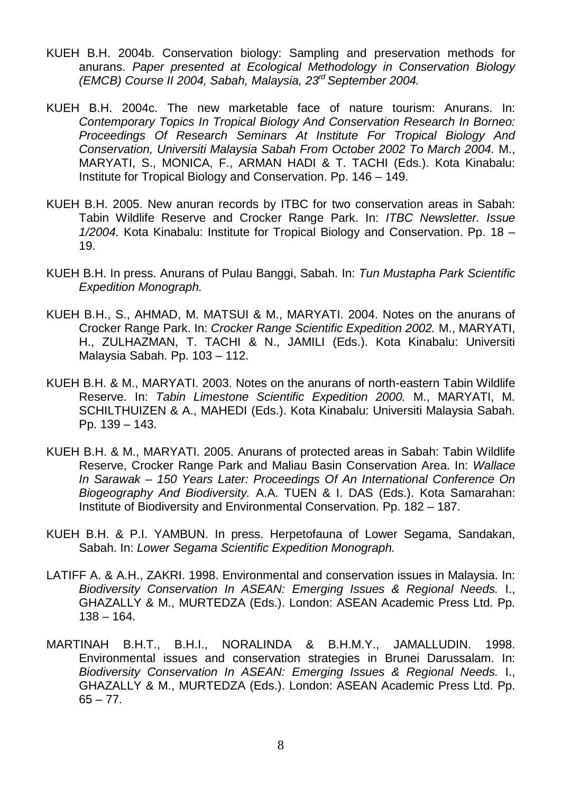- KUEH B.H. 2004b. Conservation biology: Sampling and preservation methods for anurans. *Paper presented at Ecological Methodology in Conservation Biology (EMCB) Course II 2004, Sabah, Malaysia, 23rd September 2004.*
- KUEH B.H. 2004c. The new marketable face of nature tourism: Anurans. In: *Contemporary Topics In Tropical Biology And Conservation Research In Borneo: Proceedings Of Research Seminars At Institute For Tropical Biology And Conservation, Universiti Malaysia Sabah From October 2002 To March 2004.* M., MARYATI, S., MONICA, F., ARMAN HADI & T. TACHI (Eds.). Kota Kinabalu: Institute for Tropical Biology and Conservation. Pp. 146 – 149.
- KUEH B.H. 2005. New anuran records by ITBC for two conservation areas in Sabah: Tabin Wildlife Reserve and Crocker Range Park. In: *ITBC Newsletter. Issue 1/2004.* Kota Kinabalu: Institute for Tropical Biology and Conservation. Pp. 18 – 19.
- KUEH B.H. In press. Anurans of Pulau Banggi, Sabah. In: *Tun Mustapha Park Scientific Expedition Monograph.*
- KUEH B.H., S., AHMAD, M. MATSUI & M., MARYATI. 2004. Notes on the anurans of Crocker Range Park. In: *Crocker Range Scientific Expedition 2002.* M., MARYATI, H., ZULHAZMAN, T. TACHI & N., JAMILI (Eds.). Kota Kinabalu: Universiti Malaysia Sabah. Pp. 103 – 112.
- KUEH B.H. & M., MARYATI. 2003. Notes on the anurans of north-eastern Tabin Wildlife Reserve. In: *Tabin Limestone Scientific Expedition 2000.* M., MARYATI, M. SCHILTHUIZEN & A., MAHEDI (Eds.). Kota Kinabalu: Universiti Malaysia Sabah. Pp. 139 – 143.
- KUEH B.H. & M., MARYATI. 2005. Anurans of protected areas in Sabah: Tabin Wildlife Reserve, Crocker Range Park and Maliau Basin Conservation Area. In: *Wallace In Sarawak – 150 Years Later: Proceedings Of An International Conference On Biogeography And Biodiversity.* A.A. TUEN & I. DAS (Eds.). Kota Samarahan: Institute of Biodiversity and Environmental Conservation. Pp. 182 – 187.
- KUEH B.H. & P.I. YAMBUN. In press. Herpetofauna of Lower Segama, Sandakan, Sabah. In: *Lower Segama Scientific Expedition Monograph.*
- LATIFF A. & A.H., ZAKRI. 1998. Environmental and conservation issues in Malaysia. In: *Biodiversity Conservation In ASEAN: Emerging Issues & Regional Needs.* I., GHAZALLY & M., MURTEDZA (Eds.). London: ASEAN Academic Press Ltd. Pp.  $138 - 164.$
- MARTINAH B.H.T., B.H.I., NORALINDA & B.H.M.Y., JAMALLUDIN. 1998. Environmental issues and conservation strategies in Brunei Darussalam. In: *Biodiversity Conservation In ASEAN: Emerging Issues & Regional Needs.* I., GHAZALLY & M., MURTEDZA (Eds.). London: ASEAN Academic Press Ltd. Pp.  $65 - 77$ .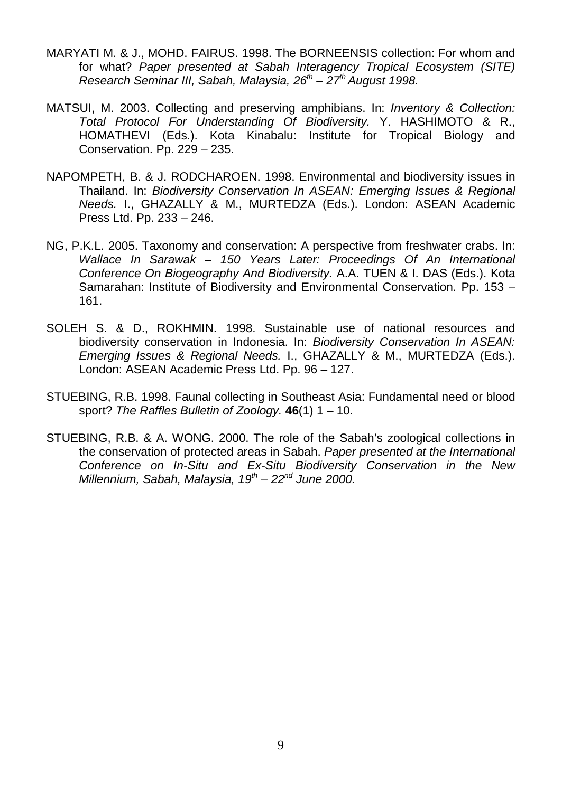- MARYATI M. & J., MOHD. FAIRUS. 1998. The BORNEENSIS collection: For whom and for what? *Paper presented at Sabah Interagency Tropical Ecosystem (SITE) Research Seminar III, Sabah, Malaysia, 26th – 27th August 1998.*
- MATSUI, M. 2003. Collecting and preserving amphibians. In: *Inventory & Collection: Total Protocol For Understanding Of Biodiversity.* Y. HASHIMOTO & R., HOMATHEVI (Eds.). Kota Kinabalu: Institute for Tropical Biology and Conservation. Pp. 229 – 235.
- NAPOMPETH, B. & J. RODCHAROEN. 1998. Environmental and biodiversity issues in Thailand. In: *Biodiversity Conservation In ASEAN: Emerging Issues & Regional Needs.* I., GHAZALLY & M., MURTEDZA (Eds.). London: ASEAN Academic Press Ltd. Pp. 233 – 246.
- NG, P.K.L. 2005. Taxonomy and conservation: A perspective from freshwater crabs. In: *Wallace In Sarawak – 150 Years Later: Proceedings Of An International Conference On Biogeography And Biodiversity.* A.A. TUEN & I. DAS (Eds.). Kota Samarahan: Institute of Biodiversity and Environmental Conservation. Pp. 153 – 161.
- SOLEH S. & D., ROKHMIN. 1998. Sustainable use of national resources and biodiversity conservation in Indonesia. In: *Biodiversity Conservation In ASEAN: Emerging Issues & Regional Needs.* I., GHAZALLY & M., MURTEDZA (Eds.). London: ASEAN Academic Press Ltd. Pp. 96 – 127.
- STUEBING, R.B. 1998. Faunal collecting in Southeast Asia: Fundamental need or blood sport? *The Raffles Bulletin of Zoology.* **46**(1) 1 – 10.
- STUEBING, R.B. & A. WONG. 2000. The role of the Sabah's zoological collections in the conservation of protected areas in Sabah. *Paper presented at the International Conference on In-Situ and Ex-Situ Biodiversity Conservation in the New Millennium, Sabah, Malaysia, 19th – 22nd June 2000.*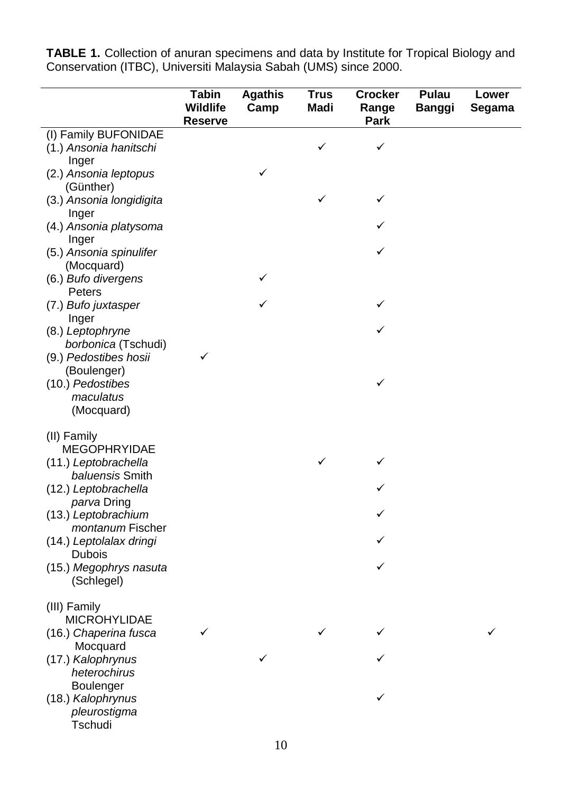**TABLE 1.** Collection of anuran specimens and data by Institute for Tropical Biology and Conservation (ITBC), Universiti Malaysia Sabah (UMS) since 2000.

|                                          | <b>Tabin</b><br><b>Wildlife</b><br><b>Reserve</b> | <b>Agathis</b><br>Camp | <b>Trus</b><br><b>Madi</b> | <b>Crocker</b><br>Range<br><b>Park</b> | <b>Pulau</b><br><b>Banggi</b> | Lower<br>Segama |
|------------------------------------------|---------------------------------------------------|------------------------|----------------------------|----------------------------------------|-------------------------------|-----------------|
| (I) Family BUFONIDAE                     |                                                   |                        |                            |                                        |                               |                 |
| (1.) Ansonia hanitschi<br>Inger          |                                                   |                        | ✓                          | ✓                                      |                               |                 |
| (2.) Ansonia leptopus<br>(Günther)       |                                                   | ✓                      |                            |                                        |                               |                 |
| (3.) Ansonia longidigita<br>Inger        |                                                   |                        | ✓                          | ✓                                      |                               |                 |
| (4.) Ansonia platysoma<br>Inger          |                                                   |                        |                            |                                        |                               |                 |
| (5.) Ansonia spinulifer<br>(Mocquard)    |                                                   |                        |                            | ✓                                      |                               |                 |
| (6.) Bufo divergens<br>Peters            |                                                   |                        |                            |                                        |                               |                 |
| (7.) Bufo juxtasper<br>Inger             |                                                   |                        |                            | ✓                                      |                               |                 |
| (8.) Leptophryne<br>borbonica (Tschudi)  |                                                   |                        |                            | ✓                                      |                               |                 |
| (9.) Pedostibes hosii<br>(Boulenger)     | ✓                                                 |                        |                            |                                        |                               |                 |
| (10.) Pedostibes<br>maculatus            |                                                   |                        |                            | ✓                                      |                               |                 |
| (Mocquard)                               |                                                   |                        |                            |                                        |                               |                 |
| (II) Family<br><b>MEGOPHRYIDAE</b>       |                                                   |                        |                            |                                        |                               |                 |
| (11.) Leptobrachella<br>baluensis Smith  |                                                   |                        | ✓                          |                                        |                               |                 |
| (12.) Leptobrachella<br>parva Dring      |                                                   |                        |                            |                                        |                               |                 |
| (13.) Leptobrachium<br>montanum Fischer  |                                                   |                        |                            |                                        |                               |                 |
| (14.) Leptolalax dringi<br><b>Dubois</b> |                                                   |                        |                            |                                        |                               |                 |
| (15.) Megophrys nasuta<br>(Schlegel)     |                                                   |                        |                            | ✓                                      |                               |                 |
| (III) Family<br><b>MICROHYLIDAE</b>      |                                                   |                        |                            |                                        |                               |                 |
| (16.) Chaperina fusca<br>Mocquard        |                                                   |                        |                            |                                        |                               |                 |
| (17.) Kalophrynus<br>heterochirus        |                                                   |                        |                            |                                        |                               |                 |
| Boulenger<br>(18.) Kalophrynus           |                                                   |                        |                            |                                        |                               |                 |
| pleurostigma<br>Tschudi                  |                                                   |                        |                            |                                        |                               |                 |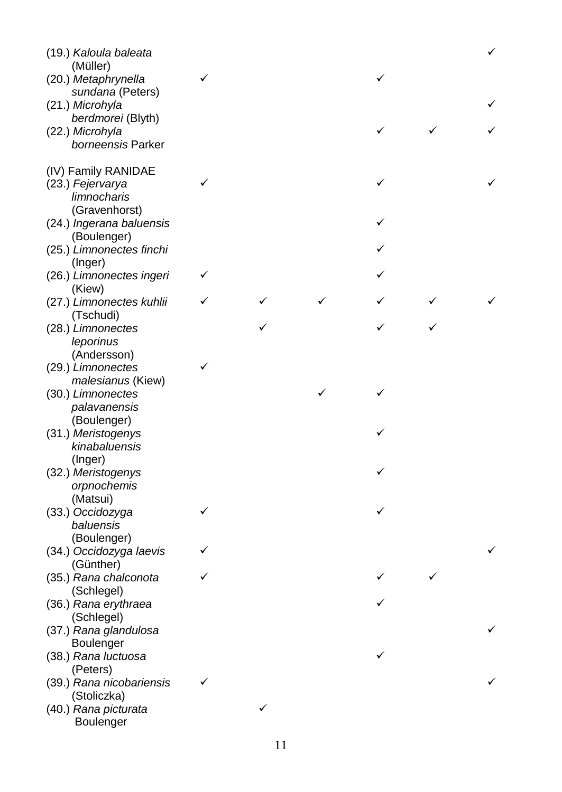| (19.) Kaloula baleata<br>(Müller)       |   |   |   | $\checkmark$ |
|-----------------------------------------|---|---|---|--------------|
| (20.) Metaphrynella                     | ✓ |   | ✓ |              |
| sundana (Peters)<br>(21.) Microhyla     |   |   |   |              |
| berdmorei (Blyth)                       |   |   |   |              |
| (22.) Microhyla<br>borneensis Parker    |   |   | ✓ |              |
|                                         |   |   |   |              |
| (IV) Family RANIDAE                     |   |   |   |              |
| (23.) Fejervarya                        | ✓ |   | ✓ |              |
| limnocharis                             |   |   |   |              |
| (Gravenhorst)                           |   |   |   |              |
| (24.) Ingerana baluensis                |   |   |   |              |
| (Boulenger)<br>(25.) Limnonectes finchi |   |   |   |              |
| (Inger)                                 |   |   |   |              |
| (26.) Limnonectes ingeri                | ✓ |   |   |              |
| (Kiew)                                  |   |   |   |              |
| (27.) Limnonectes kuhlii                | ✓ |   |   |              |
| (Tschudi)                               |   |   |   |              |
| (28.) Limnonectes                       |   |   |   |              |
| leporinus<br>(Andersson)                |   |   |   |              |
| (29.) Limnonectes                       |   |   |   |              |
| malesianus (Kiew)                       |   |   |   |              |
| (30.) Limnonectes                       |   |   |   |              |
| palavanensis                            |   |   |   |              |
| (Boulenger)                             |   |   |   |              |
| (31.) Meristogenys                      |   |   |   |              |
| kinabaluensis<br>(Inger)                |   |   |   |              |
| (32.) Meristogenys                      |   |   |   |              |
| orpnochemis                             |   |   |   |              |
| (Matsui)                                |   |   |   |              |
| (33.) Occidozyga                        | ✓ |   |   |              |
| baluensis                               |   |   |   |              |
| (Boulenger)                             |   |   |   |              |
| (34.) Occidozyga laevis<br>(Günther)    |   |   |   |              |
| (35.) Rana chalconota                   |   |   |   |              |
| (Schlegel)                              |   |   |   |              |
| (36.) Rana erythraea                    |   |   |   |              |
| (Schlegel)                              |   |   |   |              |
| (37.) Rana glandulosa                   |   |   |   |              |
| Boulenger                               |   |   |   |              |
| (38.) Rana luctuosa<br>(Peters)         |   |   | ✓ |              |
| (39.) Rana nicobariensis                |   |   |   |              |
| (Stoliczka)                             |   |   |   |              |
| (40.) Rana picturata                    |   | ✓ |   |              |
| Boulenger                               |   |   |   |              |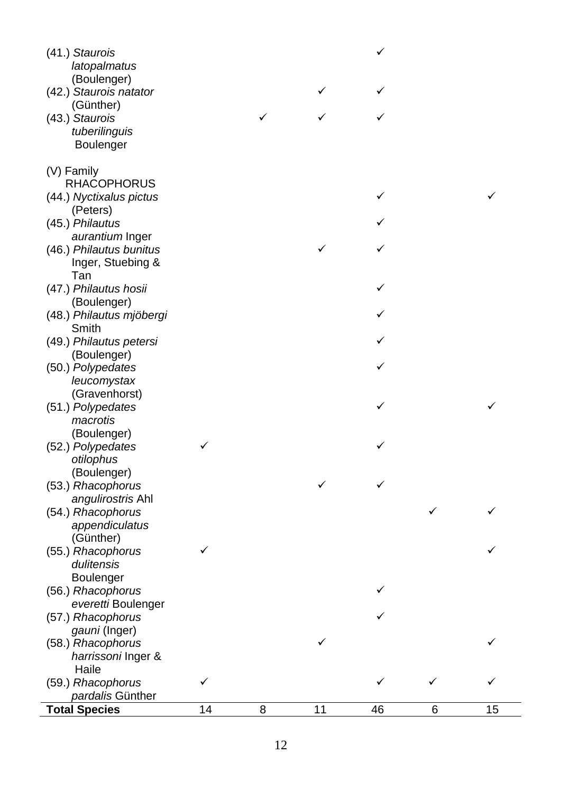| latopalmatus<br>(Boulenger)<br>(42.) Staurois natator<br>✓<br>(Günther)<br>(43.) Staurois<br>✓<br>tuberilinguis<br>Boulenger<br>(V) Family<br><b>RHACOPHORUS</b><br>(44.) Nyctixalus pictus<br>✓<br>(Peters)<br>(45.) Philautus<br>aurantium Inger<br>(46.) Philautus bunitus<br>Inger, Stuebing &<br>Tan<br>(47.) Philautus hosii<br>(Boulenger)<br>(48.) Philautus mjöbergi<br>Smith<br>(49.) Philautus petersi |
|-------------------------------------------------------------------------------------------------------------------------------------------------------------------------------------------------------------------------------------------------------------------------------------------------------------------------------------------------------------------------------------------------------------------|
|                                                                                                                                                                                                                                                                                                                                                                                                                   |
|                                                                                                                                                                                                                                                                                                                                                                                                                   |
|                                                                                                                                                                                                                                                                                                                                                                                                                   |
|                                                                                                                                                                                                                                                                                                                                                                                                                   |
|                                                                                                                                                                                                                                                                                                                                                                                                                   |
|                                                                                                                                                                                                                                                                                                                                                                                                                   |
|                                                                                                                                                                                                                                                                                                                                                                                                                   |
|                                                                                                                                                                                                                                                                                                                                                                                                                   |
|                                                                                                                                                                                                                                                                                                                                                                                                                   |
|                                                                                                                                                                                                                                                                                                                                                                                                                   |
|                                                                                                                                                                                                                                                                                                                                                                                                                   |
|                                                                                                                                                                                                                                                                                                                                                                                                                   |
|                                                                                                                                                                                                                                                                                                                                                                                                                   |
|                                                                                                                                                                                                                                                                                                                                                                                                                   |
|                                                                                                                                                                                                                                                                                                                                                                                                                   |
|                                                                                                                                                                                                                                                                                                                                                                                                                   |
|                                                                                                                                                                                                                                                                                                                                                                                                                   |
|                                                                                                                                                                                                                                                                                                                                                                                                                   |
|                                                                                                                                                                                                                                                                                                                                                                                                                   |
|                                                                                                                                                                                                                                                                                                                                                                                                                   |
|                                                                                                                                                                                                                                                                                                                                                                                                                   |
| (Boulenger)                                                                                                                                                                                                                                                                                                                                                                                                       |
| (50.) Polypedates                                                                                                                                                                                                                                                                                                                                                                                                 |
| leucomystax                                                                                                                                                                                                                                                                                                                                                                                                       |
| (Gravenhorst)                                                                                                                                                                                                                                                                                                                                                                                                     |
| (51.) Polypedates<br>✓                                                                                                                                                                                                                                                                                                                                                                                            |
| macrotis                                                                                                                                                                                                                                                                                                                                                                                                          |
| (Boulenger)                                                                                                                                                                                                                                                                                                                                                                                                       |
| (52.) Polypedates<br>✓<br>✓                                                                                                                                                                                                                                                                                                                                                                                       |
| otilophus                                                                                                                                                                                                                                                                                                                                                                                                         |
| (Boulenger)                                                                                                                                                                                                                                                                                                                                                                                                       |
| (53.) Rhacophorus                                                                                                                                                                                                                                                                                                                                                                                                 |
| angulirostris Ahl                                                                                                                                                                                                                                                                                                                                                                                                 |
| ✓<br>(54.) Rhacophorus                                                                                                                                                                                                                                                                                                                                                                                            |
| appendiculatus                                                                                                                                                                                                                                                                                                                                                                                                    |
| (Günther)                                                                                                                                                                                                                                                                                                                                                                                                         |
| (55.) Rhacophorus<br>$\checkmark$                                                                                                                                                                                                                                                                                                                                                                                 |
| dulitensis                                                                                                                                                                                                                                                                                                                                                                                                        |
| Boulenger                                                                                                                                                                                                                                                                                                                                                                                                         |
| (56.) Rhacophorus                                                                                                                                                                                                                                                                                                                                                                                                 |
| everetti Boulenger                                                                                                                                                                                                                                                                                                                                                                                                |
| (57.) Rhacophorus                                                                                                                                                                                                                                                                                                                                                                                                 |
| gauni (Inger)                                                                                                                                                                                                                                                                                                                                                                                                     |
| (58.) Rhacophorus                                                                                                                                                                                                                                                                                                                                                                                                 |
| harrissoni Inger &                                                                                                                                                                                                                                                                                                                                                                                                |
| Haile                                                                                                                                                                                                                                                                                                                                                                                                             |
| (59.) Rhacophorus<br>✓<br>✓                                                                                                                                                                                                                                                                                                                                                                                       |
| pardalis Günther                                                                                                                                                                                                                                                                                                                                                                                                  |
| <b>Total Species</b><br>14<br>8<br>11<br>46<br>6<br>15                                                                                                                                                                                                                                                                                                                                                            |